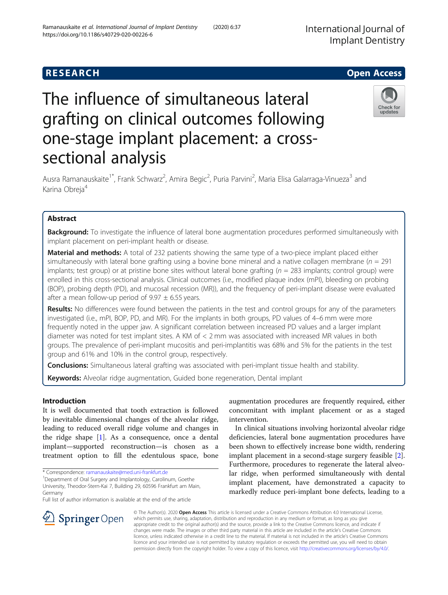# The influence of simultaneous lateral grafting on clinical outcomes following one-stage implant placement: a crosssectional analysis



Ausra Ramanauskaite<sup>1\*</sup>, Frank Schwarz<sup>2</sup>, Amira Begic<sup>2</sup>, Puria Parvini<sup>2</sup>, Maria Elisa Galarraga-Vinueza<sup>3</sup> and Karina Obreja<sup>4</sup>

# Abstract

**Background:** To investigate the influence of lateral bone augmentation procedures performed simultaneously with implant placement on peri-implant health or disease.

Material and methods: A total of 232 patients showing the same type of a two-piece implant placed either simultaneously with lateral bone grafting using a bovine bone mineral and a native collagen membrane ( $n = 291$ ) implants; test group) or at pristine bone sites without lateral bone grafting  $(n = 283$  implants; control group) were enrolled in this cross-sectional analysis. Clinical outcomes (i.e., modified plaque index (mPI), bleeding on probing (BOP), probing depth (PD), and mucosal recession (MR)), and the frequency of peri-implant disease were evaluated after a mean follow-up period of  $9.97 \pm 6.55$  years.

Results: No differences were found between the patients in the test and control groups for any of the parameters investigated (i.e., mPI, BOP, PD, and MR). For the implants in both groups, PD values of 4–6 mm were more frequently noted in the upper jaw. A significant correlation between increased PD values and a larger implant diameter was noted for test implant sites. A KM of < 2 mm was associated with increased MR values in both groups. The prevalence of peri-implant mucositis and peri-implantitis was 68% and 5% for the patients in the test group and 61% and 10% in the control group, respectively.

**Conclusions:** Simultaneous lateral grafting was associated with peri-implant tissue health and stability.

Keywords: Alveolar ridge augmentation, Guided bone regeneration, Dental implant

# Introduction

It is well documented that tooth extraction is followed by inevitable dimensional changes of the alveolar ridge, leading to reduced overall ridge volume and changes in the ridge shape  $[1]$  $[1]$  $[1]$ . As a consequence, once a dental implant—supported reconstruction—is chosen as a treatment option to fill the edentulous space, bone

Full list of author information is available at the end of the article

augmentation procedures are frequently required, either concomitant with implant placement or as a staged intervention.

In clinical situations involving horizontal alveolar ridge deficiencies, lateral bone augmentation procedures have been shown to effectively increase bone width, rendering implant placement in a second-stage surgery feasible [\[2](#page-6-0)]. Furthermore, procedures to regenerate the lateral alveolar ridge, when performed simultaneously with dental implant placement, have demonstrated a capacity to markedly reduce peri-implant bone defects, leading to a



© The Author(s). 2020 Open Access This article is licensed under a Creative Commons Attribution 4.0 International License, which permits use, sharing, adaptation, distribution and reproduction in any medium or format, as long as you give appropriate credit to the original author(s) and the source, provide a link to the Creative Commons licence, and indicate if changes were made. The images or other third party material in this article are included in the article's Creative Commons licence, unless indicated otherwise in a credit line to the material. If material is not included in the article's Creative Commons licence and your intended use is not permitted by statutory regulation or exceeds the permitted use, you will need to obtain permission directly from the copyright holder. To view a copy of this licence, visit <http://creativecommons.org/licenses/by/4.0/>.

<sup>\*</sup> Correspondence: [ramanauskaite@med.uni-frankfurt.de](mailto:ramanauskaite@med.uni-frankfurt.de) <sup>1</sup>

<sup>&</sup>lt;sup>1</sup>Department of Oral Surgery and Implantology, Carolinum, Goethe University, Theodor-Stern-Kai 7, Building 29, 60596 Frankfurt am Main, Germany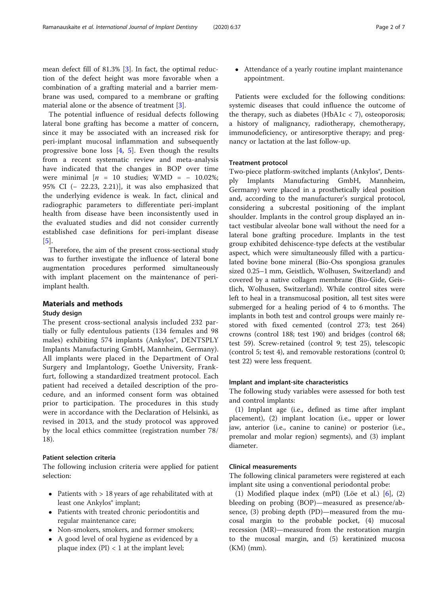mean defect fill of 81.3% [\[3](#page-6-0)]. In fact, the optimal reduction of the defect height was more favorable when a combination of a grafting material and a barrier membrane was used, compared to a membrane or grafting material alone or the absence of treatment [\[3](#page-6-0)].

The potential influence of residual defects following lateral bone grafting has become a matter of concern, since it may be associated with an increased risk for peri-implant mucosal inflammation and subsequently progressive bone loss [[4,](#page-6-0) [5](#page-6-0)]. Even though the results from a recent systematic review and meta-analysis have indicated that the changes in BOP over time were minimal  $[n = 10$  studies; WMD = - 10.02%; 95% CI (− 22.23, 2.21)], it was also emphasized that the underlying evidence is weak. In fact, clinical and radiographic parameters to differentiate peri-implant health from disease have been inconsistently used in the evaluated studies and did not consider currently established case definitions for peri-implant disease [[5\]](#page-6-0).

Therefore, the aim of the present cross-sectional study was to further investigate the influence of lateral bone augmentation procedures performed simultaneously with implant placement on the maintenance of periimplant health.

# Materials and methods

# Study design

The present cross-sectional analysis included 232 partially or fully edentulous patients (134 females and 98 males) exhibiting 574 implants (Ankylos®, DENTSPLY Implants Manufacturing GmbH, Mannheim, Germany). All implants were placed in the Department of Oral Surgery and Implantology, Goethe University, Frankfurt, following a standardized treatment protocol. Each patient had received a detailed description of the procedure, and an informed consent form was obtained prior to participation. The procedures in this study were in accordance with the Declaration of Helsinki, as revised in 2013, and the study protocol was approved by the local ethics committee (registration number 78/ 18).

# Patient selection criteria

The following inclusion criteria were applied for patient selection:

- Patients with > 18 years of age rehabilitated with at least one Ankylos<sup>®</sup> implant;
- Patients with treated chronic periodontitis and regular maintenance care;
- Non-smokers, smokers, and former smokers;
- A good level of oral hygiene as evidenced by a plaque index  $(PI) < 1$  at the implant level;

 Attendance of a yearly routine implant maintenance appointment.

Patients were excluded for the following conditions: systemic diseases that could influence the outcome of the therapy, such as diabetes (HbA1 $c$  < 7), osteoporosis; a history of malignancy, radiotherapy, chemotherapy, immunodeficiency, or antiresorptive therapy; and pregnancy or lactation at the last follow-up.

# Treatment protocol

Two-piece platform-switched implants (Ankylos<sup>®</sup>, Dentsply Implants Manufacturing GmbH, Mannheim, Germany) were placed in a prosthetically ideal position and, according to the manufacturer's surgical protocol, considering a subcrestal positioning of the implant shoulder. Implants in the control group displayed an intact vestibular alveolar bone wall without the need for a lateral bone grafting procedure. Implants in the test group exhibited dehiscence-type defects at the vestibular aspect, which were simultaneously filled with a particulated bovine bone mineral (Bio-Oss spongiosa granules sized 0.25–1 mm, Geistlich, Wolhusen, Switzerland) and covered by a native collagen membrane (Bio-Gide, Geistlich, Wolhusen, Switzerland). While control sites were left to heal in a transmucosal position, all test sites were submerged for a healing period of 4 to 6 months. The implants in both test and control groups were mainly restored with fixed cemented (control 273; test 264) crowns (control 188; test 190) and bridges (control 68; test 59). Screw-retained (control 9; test 25), telescopic (control 5; test 4), and removable restorations (control 0; test 22) were less frequent.

# Implant and implant-site characteristics

The following study variables were assessed for both test and control implants:

(1) Implant age (i.e., defined as time after implant placement), (2) implant location (i.e., upper or lower jaw, anterior (i.e., canine to canine) or posterior (i.e., premolar and molar region) segments), and (3) implant diameter.

# Clinical measurements

The following clinical parameters were registered at each implant site using a conventional periodontal probe:

(1) Modified plaque index (mPI) (Löe et al.) [\[6](#page-6-0)], (2) bleeding on probing (BOP)—measured as presence/absence, (3) probing depth (PD)—measured from the mucosal margin to the probable pocket, (4) mucosal recession (MR)—measured from the restoration margin to the mucosal margin, and (5) keratinized mucosa (KM) (mm).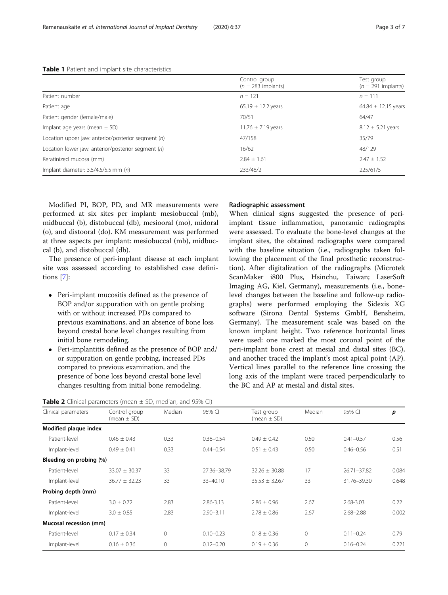|                                                    | Control group<br>$(n = 283$ implants) | Test group<br>$(n = 291$ implants) |
|----------------------------------------------------|---------------------------------------|------------------------------------|
| Patient number                                     | $n = 121$                             | $n = 111$                          |
| Patient age                                        | 65.19 $\pm$ 12.2 years                | 64.84 $\pm$ 12.15 years            |
| Patient gender (female/male)                       | 70/51                                 | 64/47                              |
| Implant age years (mean $\pm$ SD)                  | 11.76 $\pm$ 7.19 years                | $8.12 \pm 5.21$ years              |
| Location upper jaw: anterior/posterior segment (n) | 47/158                                | 35/79                              |
| Location lower jaw: anterior/posterior segment (n) | 16/62                                 | 48/129                             |
| Keratinized mucosa (mm)                            | $2.84 + 1.61$                         | $2.47 \pm 1.52$                    |
| Implant diameter: $3.5/4.5/5.5$ mm (n)             | 233/48/2                              | 225/61/5                           |

<span id="page-2-0"></span>Table 1 Patient and implant site characteristics

Modified PI, BOP, PD, and MR measurements were performed at six sites per implant: mesiobuccal (mb), midbuccal (b), distobuccal (db), mesiooral (mo), midoral (o), and distooral (do). KM measurement was performed at three aspects per implant: mesiobuccal (mb), midbuccal (b), and distobuccal (db).

The presence of peri-implant disease at each implant site was assessed according to established case definitions [[7\]](#page-6-0):

- Peri-implant mucositis defined as the presence of BOP and/or suppuration with on gentle probing with or without increased PDs compared to previous examinations, and an absence of bone loss beyond crestal bone level changes resulting from initial bone remodeling.
- Peri-implantitis defined as the presence of BOP and/ or suppuration on gentle probing, increased PDs compared to previous examination, and the presence of bone loss beyond crestal bone level changes resulting from initial bone remodeling.

# Radiographic assessment

When clinical signs suggested the presence of periimplant tissue inflammation, panoramic radiographs were assessed. To evaluate the bone-level changes at the implant sites, the obtained radiographs were compared with the baseline situation (i.e., radiographs taken following the placement of the final prosthetic reconstruction). After digitalization of the radiographs (Microtek ScanMaker i800 Plus, Hsinchu, Taiwan; LaserSoft Imaging AG, Kiel, Germany), measurements (i.e., bonelevel changes between the baseline and follow-up radiographs) were performed employing the Sidexis XG software (Sirona Dental Systems GmbH, Bensheim, Germany). The measurement scale was based on the known implant height. Two reference horizontal lines were used: one marked the most coronal point of the peri-implant bone crest at mesial and distal sites (BC), and another traced the implant's most apical point (AP). Vertical lines parallel to the reference line crossing the long axis of the implant were traced perpendicularly to the BC and AP at mesial and distal sites.

|  | <b>Table 2</b> Clinical parameters (mean $\pm$ SD, median, and 95% CI) |  |  |  |
|--|------------------------------------------------------------------------|--|--|--|
|  |                                                                        |  |  |  |

| Clinical parameters     | Control group<br>(mean $\pm$ SD) | Median       | 95% CI        | Test group<br>(mean $\pm$ SD) | Median       | 95% CI        | p     |
|-------------------------|----------------------------------|--------------|---------------|-------------------------------|--------------|---------------|-------|
| Modified plaque index   |                                  |              |               |                               |              |               |       |
| Patient-level           | $0.46 + 0.43$                    | 0.33         | $0.38 - 0.54$ | $0.49 + 0.42$                 | 0.50         | $0.41 - 0.57$ | 0.56  |
| Implant-level           | $0.49 \pm 0.41$                  | 0.33         | $0.44 - 0.54$ | $0.51 \pm 0.43$               | 0.50         | $0.46 - 0.56$ | 0.51  |
| Bleeding on probing (%) |                                  |              |               |                               |              |               |       |
| Patient-level           | $33.07 \pm 30.37$                | 33           | 27.36-38.79   | $32.26 \pm 30.88$             | 17           | 26.71-37.82   | 0.084 |
| Implant-level           | $36.77 \pm 32.23$                | 33           | $33 - 40.10$  | $35.53 \pm 32.67$             | 33           | 31.76-39.30   | 0.648 |
| Probing depth (mm)      |                                  |              |               |                               |              |               |       |
| Patient-level           | $3.0 \pm 0.72$                   | 2.83         | 2.86-3.13     | $2.86 \pm 0.96$               | 2.67         | 2.68-3.03     | 0.22  |
| Implant-level           | $3.0 \pm 0.85$                   | 2.83         | $2.90 - 3.11$ | $2.78 \pm 0.86$               | 2.67         | $2.68 - 2.88$ | 0.002 |
| Mucosal recession (mm)  |                                  |              |               |                               |              |               |       |
| Patient-level           | $0.17 \pm 0.34$                  | $\mathbf{0}$ | $0.10 - 0.23$ | $0.18 \pm 0.36$               | $\mathbf{0}$ | $0.11 - 0.24$ | 0.79  |
| Implant-level           | $0.16 \pm 0.36$                  | $\mathbf{0}$ | $0.12 - 0.20$ | $0.19 \pm 0.36$               | $\mathbf{0}$ | $0.16 - 0.24$ | 0.221 |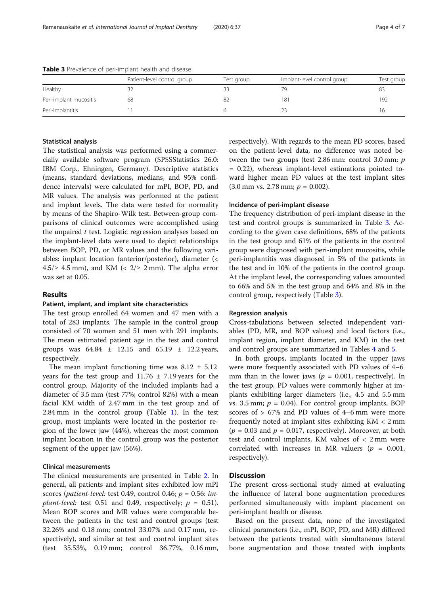|                        | Patient-level control group | Test group | Implant-level control group | Test group |
|------------------------|-----------------------------|------------|-----------------------------|------------|
| <b>Healthy</b>         |                             |            | 7G                          | 83         |
| Peri-implant mucositis | 68                          |            | 181                         | 192        |
| Peri-implantitis       |                             |            |                             | 16         |

Table 3 Prevalence of peri-implant health and disease

#### Statistical analysis

The statistical analysis was performed using a commercially available software program (SPSSStatistics 26.0: IBM Corp., Ehningen, Germany). Descriptive statistics (means, standard deviations, medians, and 95% confidence intervals) were calculated for mPI, BOP, PD, and MR values. The analysis was performed at the patient and implant levels. The data were tested for normality by means of the Shapiro-Wilk test. Between-group comparisons of clinical outcomes were accomplished using the unpaired  $t$  test. Logistic regression analyses based on the implant-level data were used to depict relationships between BOP, PD, or MR values and the following variables: implant location (anterior/posterior), diameter (< 4.5/≥ 4.5 mm), and KM (<  $2/\ge 2$  mm). The alpha error was set at 0.05.

## Results

## Patient, implant, and implant site characteristics

The test group enrolled 64 women and 47 men with a total of 283 implants. The sample in the control group consisted of 70 women and 51 men with 291 implants. The mean estimated patient age in the test and control groups was  $64.84 \pm 12.15$  and  $65.19 \pm 12.2$  years, respectively.

The mean implant functioning time was  $8.12 \pm 5.12$ years for the test group and  $11.76 \pm 7.19$  years for the control group. Majority of the included implants had a diameter of 3.5 mm (test 77%; control 82%) with a mean facial KM width of 2.47 mm in the test group and of 2.84 mm in the control group (Table [1\)](#page-2-0). In the test group, most implants were located in the posterior region of the lower jaw (44%), whereas the most common implant location in the control group was the posterior segment of the upper jaw (56%).

# Clinical measurements

The clinical measurements are presented in Table [2.](#page-2-0) In general, all patients and implant sites exhibited low mPI scores (*patient-level:* test 0.49, control 0.46;  $p = 0.56$ : *implant-level:* test 0.51 and 0.49, respectively;  $p = 0.51$ ). Mean BOP scores and MR values were comparable between the patients in the test and control groups (test 32.26% and 0.18 mm; control 33.07% and 0.17 mm, respectively), and similar at test and control implant sites (test 35.53%, 0.19 mm; control 36.77%, 0.16 mm, respectively). With regards to the mean PD scores, based on the patient-level data, no difference was noted between the two groups (test 2.86 mm: control 3.0 mm; p = 0.22), whereas implant-level estimations pointed toward higher mean PD values at the test implant sites  $(3.0 \text{ mm vs. } 2.78 \text{ mm}; p = 0.002).$ 

# Incidence of peri-implant disease

The frequency distribution of peri-implant disease in the test and control groups is summarized in Table 3. According to the given case definitions, 68% of the patients in the test group and 61% of the patients in the control group were diagnosed with peri-implant mucositis, while peri-implantitis was diagnosed in 5% of the patients in the test and in 10% of the patients in the control group. At the implant level, the corresponding values amounted to 66% and 5% in the test group and 64% and 8% in the control group, respectively (Table 3).

#### Regression analysis

Cross-tabulations between selected independent variables (PD, MR, and BOP values) and local factors (i.e., implant region, implant diameter, and KM) in the test and control groups are summarized in Tables [4](#page-4-0) and [5.](#page-5-0)

In both groups, implants located in the upper jaws were more frequently associated with PD values of 4–6 mm than in the lower jaws ( $p = 0.001$ , respectively). In the test group, PD values were commonly higher at implants exhibiting larger diameters (i.e., 4.5 and 5.5 mm vs. 3.5 mm;  $p = 0.04$ ). For control group implants, BOP scores of  $> 67\%$  and PD values of 4–6 mm were more frequently noted at implant sites exhibiting KM < 2 mm  $(p = 0.03$  and  $p = 0.017$ , respectively). Moreover, at both test and control implants, KM values of < 2 mm were correlated with increases in MR valuers ( $p = 0.001$ , respectively).

# **Discussion**

The present cross-sectional study aimed at evaluating the influence of lateral bone augmentation procedures performed simultaneously with implant placement on peri-implant health or disease.

Based on the present data, none of the investigated clinical parameters (i.e., mPI, BOP, PD, and MR) differed between the patients treated with simultaneous lateral bone augmentation and those treated with implants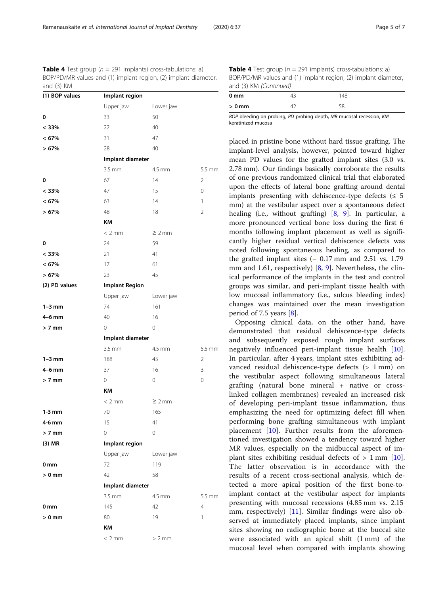<span id="page-4-0"></span>**Table 4** Test group ( $n = 291$  implants) cross-tabulations: a) BOP/PD/MR values and (1) implant region, (2) implant diameter, and  $(3)$   $V\Lambda$ 

| anu (J) NN     |                       |             |                |
|----------------|-----------------------|-------------|----------------|
| (1) BOP values | Implant region        |             |                |
|                | Upper jaw             | Lower jaw   |                |
| 0              | 33                    | 50          |                |
| < 33%          | 22                    | 40          |                |
| < 67%          | 31                    | 47          |                |
| >67%           | 28                    | 40          |                |
|                | Implant diameter      |             |                |
|                | $3.5 \, \text{mm}$    | 4.5 mm      | 5.5 mm         |
| 0              | 67                    | 14          | $\overline{2}$ |
| < 33%          | 47                    | 15          | 0              |
| $< 67\%$       | 63                    | 14          | 1              |
| >67%           | 48                    | 18          | $\overline{2}$ |
|                | KM                    |             |                |
|                | $< 2$ mm              | $\geq 2$ mm |                |
| 0              | 24                    | 59          |                |
| < 33%          | 21                    | 41          |                |
| < 67%          | 17                    | 61          |                |
| >67%           | 23                    | 45          |                |
| (2) PD values  | <b>Implant Region</b> |             |                |
|                | Upper jaw             | Lower jaw   |                |
| $1-3$ mm       | 74                    | 161         |                |
| $4-6$ mm       | 40                    | 16          |                |
| $> 7$ mm       | 0                     | 0           |                |
|                | Implant diameter      |             |                |
|                | $3.5 \, \text{mm}$    | 4.5 mm      | 5.5 mm         |
| $1-3$ mm       | 188                   | 45          | $\overline{2}$ |
| $4-6$ mm       | 37                    | 16          | 3              |
| $> 7$ mm       | 0                     | 0           | 0              |
|                | KM                    |             |                |
|                | $< 2$ mm              | $\geq 2$ mm |                |
| $1-3$ mm       | 70                    | 165         |                |
| 4-6 mm         | 15                    | 41          |                |
| $> 7$ mm       | 0                     | 0           |                |
| $(3)$ MR       | Implant region        |             |                |
|                | Upper jaw             | Lower jaw   |                |
| 0 mm           | 72                    | 119         |                |
| $> 0$ mm       | 42                    | 58          |                |
|                | Implant diameter      |             |                |
|                | $3.5 \, \text{mm}$    | 4.5 mm      | 5.5 mm         |
| 0 mm           | 145                   | 42          | $\overline{4}$ |
| $> 0$ mm       | 80                    | 19          | 1              |
|                | KΜ                    |             |                |
|                | $< 2$ mm              | $> 2$ mm    |                |
|                |                       |             |                |

**Table 4** Test group ( $n = 291$  implants) cross-tabulations: a) BOP/PD/MR values and (1) implant region, (2) implant diameter, and (3) KM (Continued)

| 0 <sub>mm</sub> |                                     | 148                                                                  |  |
|-----------------|-------------------------------------|----------------------------------------------------------------------|--|
| $> 0$ mm        |                                     | 58                                                                   |  |
|                 | the contract of the contract of the | the contract of the contract of<br><b>Contract Contract Contract</b> |  |

BOP bleeding on probing, PD probing depth, MR mucosal recession, KM keratinized mucosa

placed in pristine bone without hard tissue grafting. The implant-level analysis, however, pointed toward higher mean PD values for the grafted implant sites (3.0 vs. 2.78 mm). Our findings basically corroborate the results of one previous randomized clinical trial that elaborated upon the effects of lateral bone grafting around dental implants presenting with dehiscence-type defects ( $\leq 5$ ) mm) at the vestibular aspect over a spontaneous defect healing (i.e., without grafting) [\[8](#page-6-0), [9](#page-6-0)]. In particular, a more pronounced vertical bone loss during the first 6 months following implant placement as well as significantly higher residual vertical dehiscence defects was noted following spontaneous healing, as compared to the grafted implant sites (− 0.17 mm and 2.51 vs. 1.79 mm and 1.61, respectively) [\[8](#page-6-0), [9\]](#page-6-0). Nevertheless, the clinical performance of the implants in the test and control groups was similar, and peri-implant tissue health with low mucosal inflammatory (i.e., sulcus bleeding index) changes was maintained over the mean investigation period of 7.5 years [\[8](#page-6-0)].

Opposing clinical data, on the other hand, have demonstrated that residual dehiscence-type defects and subsequently exposed rough implant surfaces negatively influenced peri-implant tissue health [\[10](#page-6-0)]. In particular, after 4 years, implant sites exhibiting advanced residual dehiscence-type defects (> 1 mm) on the vestibular aspect following simultaneous lateral grafting (natural bone mineral + native or crosslinked collagen membranes) revealed an increased risk of developing peri-implant tissue inflammation, thus emphasizing the need for optimizing defect fill when performing bone grafting simultaneous with implant placement [\[10](#page-6-0)]. Further results from the aforementioned investigation showed a tendency toward higher MR values, especially on the midbuccal aspect of implant sites exhibiting residual defects of  $> 1$  mm [\[10](#page-6-0)]. The latter observation is in accordance with the results of a recent cross-sectional analysis, which detected a more apical position of the first bone-toimplant contact at the vestibular aspect for implants presenting with mucosal recessions (4.85 mm vs. 2.15 mm, respectively) [[11\]](#page-6-0). Similar findings were also observed at immediately placed implants, since implant sites showing no radiographic bone at the buccal site were associated with an apical shift (1 mm) of the mucosal level when compared with implants showing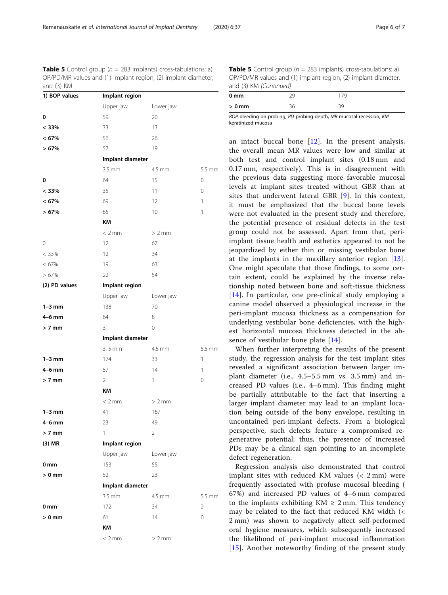<span id="page-5-0"></span>**Table 5** Control group ( $n = 283$  implants) cross-tabulations: a) OP/PD/MR values and (1) implant region, (2) implant diameter, and (3) KM

| $\mathbf{v}$<br>1) BOP values | Implant region     |             |                |
|-------------------------------|--------------------|-------------|----------------|
|                               | Upper jaw          | Lower jaw   |                |
| 0                             | 59                 | 20          |                |
| < 33%                         | 33                 | 13          |                |
| < 67%                         | 56                 | 26          |                |
| >67%                          | 57                 | 19          |                |
|                               | Implant diameter   |             |                |
|                               | $3.5$ mm           | 4.5 mm      | 5.5 mm         |
| 0                             | 64                 | 15          | 0              |
| < 33%                         | 35                 | 11          | $\mathbf 0$    |
| < 67%                         | 69                 | 12          | 1              |
| >67%                          | 65                 | 10          | 1              |
|                               | KM                 |             |                |
|                               | < 2 mm             | $> 2$ mm    |                |
| 0                             | 12                 | 67          |                |
| < 33%                         | 12                 | 34          |                |
| $< 67\%$                      | 19                 | 63          |                |
| >67%                          | 22                 | 54          |                |
| (2) PD values                 | Implant region     |             |                |
|                               | Upper jaw          | Lower jaw   |                |
| $1-3$ mm                      | 138                | 70          |                |
| $4-6$ mm                      | 64                 | 8           |                |
| $> 7$ mm                      | 3                  | $\mathbf 0$ |                |
|                               | Implant diameter   |             |                |
|                               | $3.5$ mm           | 4.5 mm      | 5.5 mm         |
| $1-3$ mm                      | 174                | 33          | 1              |
| $4-6$ mm                      | 57                 | 14          | $\mathbf{1}$   |
| $> 7$ mm                      | $\overline{2}$     | 1           | $\mathbf 0$    |
|                               | KΜ                 |             |                |
|                               | < 2 mm             | $> 2$ mm    |                |
| $1-3$ mm                      | 41                 | 167         |                |
| $4-6$ mm                      | 23                 | 49          |                |
| $> 7$ mm                      | 1                  | 2           |                |
| $(3)$ MR                      | Implant region     |             |                |
|                               | Upper jaw          | Lower jaw   |                |
| 0 mm                          | 153                | 55          |                |
| $> 0$ mm                      | 52                 | 23          |                |
|                               | Implant diameter   |             |                |
|                               | $3.5 \, \text{mm}$ | 4.5 mm      | $5.5$ mm       |
| 0 <sub>mm</sub>               | 172                | 34          | $\overline{2}$ |
| $> 0$ mm                      | 61                 | 14          | 0              |
|                               | KM                 |             |                |
|                               | $< 2$ mm           | $> 2$ mm    |                |

| 0 <sub>mm</sub>                     | วด                                  | 179                                        |
|-------------------------------------|-------------------------------------|--------------------------------------------|
| $> 0$ mm                            | つム                                  | 39                                         |
| the contract of the contract of the | the contract of the contract of the | <b>Contract Contract Contract Contract</b> |

BOP bleeding on probing, PD probing depth, MR mucosal recession, KM keratinized mucosa

an intact buccal bone  $[12]$  $[12]$ . In the present analysis, the overall mean MR values were low and similar at both test and control implant sites (0.18 mm and 0.17 mm, respectively). This is in disagreement with the previous data suggesting more favorable mucosal levels at implant sites treated without GBR than at sites that underwent lateral GBR [\[9](#page-6-0)]. In this context, it must be emphasized that the buccal bone levels were not evaluated in the present study and therefore, the potential presence of residual defects in the test group could not be assessed. Apart from that, periimplant tissue health and esthetics appeared to not be jeopardized by either thin or missing vestibular bone at the implants in the maxillary anterior region [\[13](#page-6-0)]. One might speculate that those findings, to some certain extent, could be explained by the inverse relationship noted between bone and soft-tissue thickness [[14\]](#page-6-0). In particular, one pre-clinical study employing a canine model observed a physiological increase in the peri-implant mucosa thickness as a compensation for underlying vestibular bone deficiencies, with the highest horizontal mucosa thickness detected in the absence of vestibular bone plate [[14\]](#page-6-0).

When further interpreting the results of the present study, the regression analysis for the test implant sites revealed a significant association between larger implant diameter (i.e., 4.5–5.5 mm vs. 3.5 mm) and increased PD values (i.e., 4–6 mm). This finding might be partially attributable to the fact that inserting a larger implant diameter may lead to an implant location being outside of the bony envelope, resulting in uncontained peri-implant defects. From a biological perspective, such defects feature a compromised regenerative potential; thus, the presence of increased PDs may be a clinical sign pointing to an incomplete defect regeneration.

Regression analysis also demonstrated that control implant sites with reduced KM values (< 2 mm) were frequently associated with profuse mucosal bleeding ( 67%) and increased PD values of 4–6 mm compared to the implants exhibiting  $KM \geq 2$  mm. This tendency may be related to the fact that reduced KM width (< 2 mm) was shown to negatively affect self-performed oral hygiene measures, which subsequently increased the likelihood of peri-implant mucosal inflammation [[15\]](#page-6-0). Another noteworthy finding of the present study